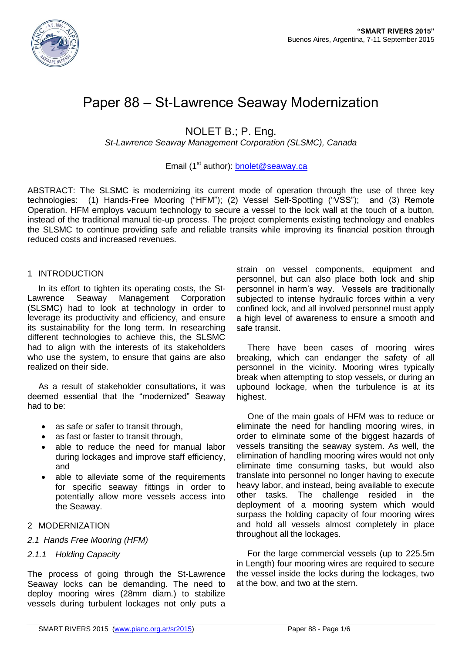

# Paper 88 – St-Lawrence Seaway Modernization

NOLET B.; P. Eng.

*St-Lawrence Seaway Management Corporation (SLSMC), Canada*

# Email (1<sup>st</sup> author): [bnolet@seaway.ca](mailto:bnolet@seaway.ca)

ABSTRACT: The SLSMC is modernizing its current mode of operation through the use of three key technologies: (1) Hands-Free Mooring ("HFM"); (2) Vessel Self-Spotting ("VSS"); and (3) Remote Operation. HFM employs vacuum technology to secure a vessel to the lock wall at the touch of a button, instead of the traditional manual tie-up process. The project complements existing technology and enables the SLSMC to continue providing safe and reliable transits while improving its financial position through reduced costs and increased revenues.

#### 1 INTRODUCTION

In its effort to tighten its operating costs, the St-Lawrence Seaway Management Corporation (SLSMC) had to look at technology in order to leverage its productivity and efficiency, and ensure its sustainability for the long term. In researching different technologies to achieve this, the SLSMC had to align with the interests of its stakeholders who use the system, to ensure that gains are also realized on their side.

As a result of stakeholder consultations, it was deemed essential that the "modernized" Seaway had to be:

- as safe or safer to transit through,
- as fast or faster to transit through,
- able to reduce the need for manual labor during lockages and improve staff efficiency, and
- able to alleviate some of the requirements for specific seaway fittings in order to potentially allow more vessels access into the Seaway.

#### 2 MODERNIZATION

#### *2.1 Hands Free Mooring (HFM)*

### *2.1.1 Holding Capacity*

The process of going through the St-Lawrence Seaway locks can be demanding. The need to deploy mooring wires (28mm diam.) to stabilize vessels during turbulent lockages not only puts a strain on vessel components, equipment and personnel, but can also place both lock and ship personnel in harm's way. Vessels are traditionally subjected to intense hydraulic forces within a very confined lock, and all involved personnel must apply a high level of awareness to ensure a smooth and safe transit.

There have been cases of mooring wires breaking, which can endanger the safety of all personnel in the vicinity. Mooring wires typically break when attempting to stop vessels, or during an upbound lockage, when the turbulence is at its highest.

One of the main goals of HFM was to reduce or eliminate the need for handling mooring wires, in order to eliminate some of the biggest hazards of vessels transiting the seaway system. As well, the elimination of handling mooring wires would not only eliminate time consuming tasks, but would also translate into personnel no longer having to execute heavy labor, and instead, being available to execute other tasks. The challenge resided in the deployment of a mooring system which would surpass the holding capacity of four mooring wires and hold all vessels almost completely in place throughout all the lockages.

For the large commercial vessels (up to 225.5m in Length) four mooring wires are required to secure the vessel inside the locks during the lockages, two at the bow, and two at the stern.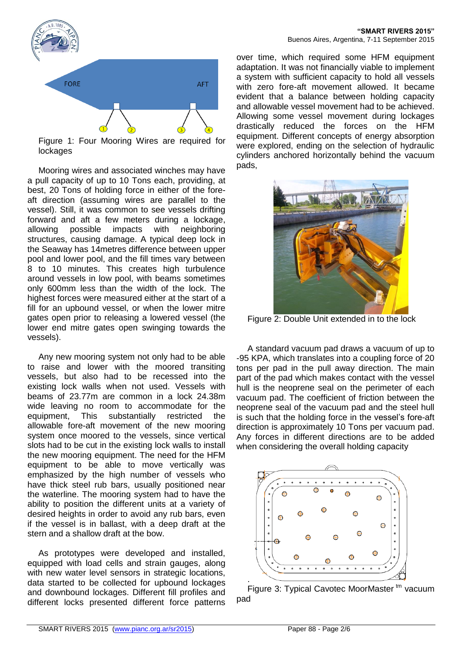

Figure 1: Four Mooring Wires are required for lockages

Mooring wires and associated winches may have a pull capacity of up to 10 Tons each, providing, at best, 20 Tons of holding force in either of the foreaft direction (assuming wires are parallel to the vessel). Still, it was common to see vessels drifting forward and aft a few meters during a lockage, allowing possible impacts with neighboring structures, causing damage. A typical deep lock in the Seaway has 14metres difference between upper pool and lower pool, and the fill times vary between 8 to 10 minutes. This creates high turbulence around vessels in low pool, with beams sometimes only 600mm less than the width of the lock. The highest forces were measured either at the start of a fill for an upbound vessel, or when the lower mitre gates open prior to releasing a lowered vessel (the lower end mitre gates open swinging towards the vessels).

Any new mooring system not only had to be able to raise and lower with the moored transiting vessels, but also had to be recessed into the existing lock walls when not used. Vessels with beams of 23.77m are common in a lock 24.38m wide leaving no room to accommodate for the equipment, This substantially restricted the allowable fore-aft movement of the new mooring system once moored to the vessels, since vertical slots had to be cut in the existing lock walls to install the new mooring equipment. The need for the HFM equipment to be able to move vertically was emphasized by the high number of vessels who have thick steel rub bars, usually positioned near the waterline. The mooring system had to have the ability to position the different units at a variety of desired heights in order to avoid any rub bars, even if the vessel is in ballast, with a deep draft at the stern and a shallow draft at the bow.

As prototypes were developed and installed, equipped with load cells and strain gauges, along with new water level sensors in strategic locations. data started to be collected for upbound lockages and downbound lockages. Different fill profiles and different locks presented different force patterns

over time, which required some HFM equipment adaptation. It was not financially viable to implement a system with sufficient capacity to hold all vessels with zero fore-aft movement allowed. It became evident that a balance between holding capacity and allowable vessel movement had to be achieved. Allowing some vessel movement during lockages drastically reduced the forces on the HFM equipment. Different concepts of energy absorption were explored, ending on the selection of hydraulic cylinders anchored horizontally behind the vacuum pads,



Figure 2: Double Unit extended in to the lock

A standard vacuum pad draws a vacuum of up to -95 KPA, which translates into a coupling force of 20 tons per pad in the pull away direction. The main part of the pad which makes contact with the vessel hull is the neoprene seal on the perimeter of each vacuum pad. The coefficient of friction between the neoprene seal of the vacuum pad and the steel hull is such that the holding force in the vessel's fore-aft direction is approximately 10 Tons per vacuum pad. Any forces in different directions are to be added when considering the overall holding capacity



Figure 3: Typical Cavotec MoorMaster<sup>tm</sup> vacuum pad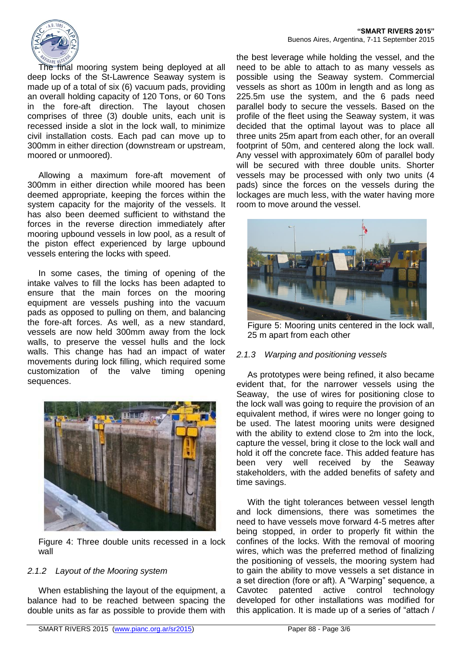

The final mooring system being deployed at all deep locks of the St-Lawrence Seaway system is made up of a total of six (6) vacuum pads, providing an overall holding capacity of 120 Tons, or 60 Tons in the fore-aft direction. The layout chosen comprises of three (3) double units, each unit is recessed inside a slot in the lock wall, to minimize civil installation costs. Each pad can move up to 300mm in either direction (downstream or upstream, moored or unmoored).

Allowing a maximum fore-aft movement of 300mm in either direction while moored has been deemed appropriate, keeping the forces within the system capacity for the majority of the vessels. It has also been deemed sufficient to withstand the forces in the reverse direction immediately after mooring upbound vessels in low pool, as a result of the piston effect experienced by large upbound vessels entering the locks with speed.

In some cases, the timing of opening of the intake valves to fill the locks has been adapted to ensure that the main forces on the mooring equipment are vessels pushing into the vacuum pads as opposed to pulling on them, and balancing the fore-aft forces. As well, as a new standard, vessels are now held 300mm away from the lock walls, to preserve the vessel hulls and the lock walls. This change has had an impact of water movements during lock filling, which required some customization of the valve timing opening sequences.



Figure 4: Three double units recessed in a lock wall

### *2.1.2 Layout of the Mooring system*

When establishing the layout of the equipment, a balance had to be reached between spacing the double units as far as possible to provide them with the best leverage while holding the vessel, and the need to be able to attach to as many vessels as possible using the Seaway system. Commercial vessels as short as 100m in length and as long as 225.5m use the system, and the 6 pads need parallel body to secure the vessels. Based on the profile of the fleet using the Seaway system, it was decided that the optimal layout was to place all three units 25m apart from each other, for an overall footprint of 50m, and centered along the lock wall. Any vessel with approximately 60m of parallel body will be secured with three double units. Shorter vessels may be processed with only two units (4 pads) since the forces on the vessels during the lockages are much less, with the water having more room to move around the vessel.



Figure 5: Mooring units centered in the lock wall, 25 m apart from each other

### *2.1.3 Warping and positioning vessels*

As prototypes were being refined, it also became evident that, for the narrower vessels using the Seaway, the use of wires for positioning close to the lock wall was going to require the provision of an equivalent method, if wires were no longer going to be used. The latest mooring units were designed with the ability to extend close to 2m into the lock, capture the vessel, bring it close to the lock wall and hold it off the concrete face. This added feature has been very well received by the Seaway stakeholders, with the added benefits of safety and time savings.

With the tight tolerances between vessel length and lock dimensions, there was sometimes the need to have vessels move forward 4-5 metres after being stopped, in order to properly fit within the confines of the locks. With the removal of mooring wires, which was the preferred method of finalizing the positioning of vessels, the mooring system had to gain the ability to move vessels a set distance in a set direction (fore or aft). A "Warping" sequence, a Cavotec patented active control technology developed for other installations was modified for this application. It is made up of a series of "attach /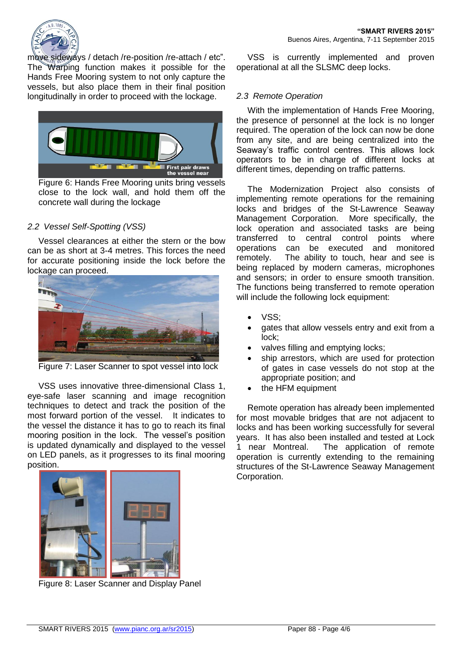

move sideways / detach /re-position /re-attach / etc". The Warping function makes it possible for the Hands Free Mooring system to not only capture the vessels, but also place them in their final position longitudinally in order to proceed with the lockage.



Figure 6: Hands Free Mooring units bring vessels close to the lock wall, and hold them off the concrete wall during the lockage

# *2.2 Vessel Self-Spotting (VSS)*

Vessel clearances at either the stern or the bow can be as short at 3-4 metres. This forces the need for accurate positioning inside the lock before the lockage can proceed.



Figure 7: Laser Scanner to spot vessel into lock

VSS uses innovative three-dimensional Class 1, eye-safe laser scanning and image recognition techniques to detect and track the position of the most forward portion of the vessel. It indicates to the vessel the distance it has to go to reach its final mooring position in the lock. The vessel's position is updated dynamically and displayed to the vessel on LED panels, as it progresses to its final mooring position.



Figure 8: Laser Scanner and Display Panel

VSS is currently implemented and proven operational at all the SLSMC deep locks.

## *2.3 Remote Operation*

With the implementation of Hands Free Mooring, the presence of personnel at the lock is no longer required. The operation of the lock can now be done from any site, and are being centralized into the Seaway's traffic control centres. This allows lock operators to be in charge of different locks at different times, depending on traffic patterns.

The Modernization Project also consists of implementing remote operations for the remaining locks and bridges of the St-Lawrence Seaway Management Corporation. More specifically, the lock operation and associated tasks are being transferred to central control points where operations can be executed and monitored remotely. The ability to touch, hear and see is being replaced by modern cameras, microphones and sensors; in order to ensure smooth transition. The functions being transferred to remote operation will include the following lock equipment:

- VSS;
- gates that allow vessels entry and exit from a lock;
- valves filling and emptying locks;
- ship arrestors, which are used for protection of gates in case vessels do not stop at the appropriate position; and
- the HFM equipment

Remote operation has already been implemented for most movable bridges that are not adjacent to locks and has been working successfully for several years. It has also been installed and tested at Lock 1 near Montreal. The application of remote operation is currently extending to the remaining structures of the St-Lawrence Seaway Management Corporation.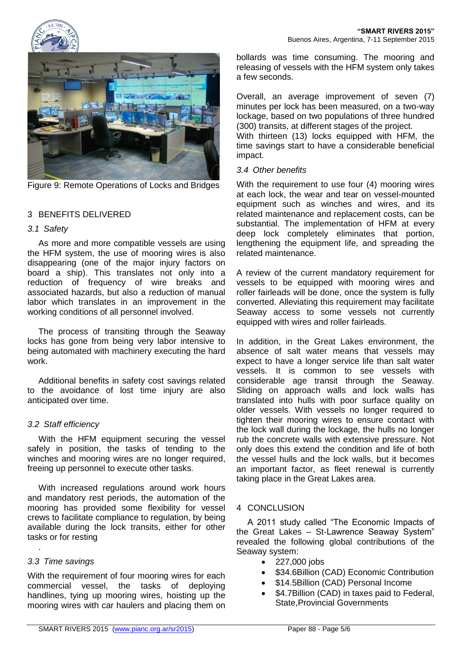



Figure 9: Remote Operations of Locks and Bridges

# 3 BENEFITS DELIVERED

### *3.1 Safety*

As more and more compatible vessels are using the HFM system, the use of mooring wires is also disappearing (one of the major injury factors on board a ship). This translates not only into a reduction of frequency of wire breaks and associated hazards, but also a reduction of manual labor which translates in an improvement in the working conditions of all personnel involved.

The process of transiting through the Seaway locks has gone from being very labor intensive to being automated with machinery executing the hard work.

Additional benefits in safety cost savings related to the avoidance of lost time injury are also anticipated over time.

### *3.2 Staff efficiency*

With the HFM equipment securing the vessel safely in position, the tasks of tending to the winches and mooring wires are no longer required, freeing up personnel to execute other tasks.

With increased regulations around work hours and mandatory rest periods, the automation of the mooring has provided some flexibility for vessel crews to facilitate compliance to regulation, by being available during the lock transits, either for other tasks or for resting

### *3.3 Time savings*

.

With the requirement of four mooring wires for each commercial vessel, the tasks of deploying handlines, tying up mooring wires, hoisting up the mooring wires with car haulers and placing them on bollards was time consuming. The mooring and releasing of vessels with the HFM system only takes a few seconds.

Overall, an average improvement of seven (7) minutes per lock has been measured, on a two-way lockage, based on two populations of three hundred (300) transits, at different stages of the project.

With thirteen (13) locks equipped with HFM, the time savings start to have a considerable beneficial impact.

#### *3.4 Other benefits*

With the requirement to use four (4) mooring wires at each lock, the wear and tear on vessel-mounted equipment such as winches and wires, and its related maintenance and replacement costs, can be substantial. The implementation of HFM at every deep lock completely eliminates that portion, lengthening the equipment life, and spreading the related maintenance.

A review of the current mandatory requirement for vessels to be equipped with mooring wires and roller fairleads will be done, once the system is fully converted. Alleviating this requirement may facilitate Seaway access to some vessels not currently equipped with wires and roller fairleads.

In addition, in the Great Lakes environment, the absence of salt water means that vessels may expect to have a longer service life than salt water vessels. It is common to see vessels with considerable age transit through the Seaway. Sliding on approach walls and lock walls has translated into hulls with poor surface quality on older vessels. With vessels no longer required to tighten their mooring wires to ensure contact with the lock wall during the lockage, the hulls no longer rub the concrete walls with extensive pressure. Not only does this extend the condition and life of both the vessel hulls and the lock walls, but it becomes an important factor, as fleet renewal is currently taking place in the Great Lakes area.

### 4 CONCLUSION

A 2011 study called "The Economic Impacts of the Great Lakes – St-Lawrence Seaway System" revealed the following global contributions of the Seaway system:

- 227,000 jobs
- \$34.6Billion (CAD) Economic Contribution
- \$14.5Billion (CAD) Personal Income
- \$4.7Billion (CAD) in taxes paid to Federal, State,Provincial Governments